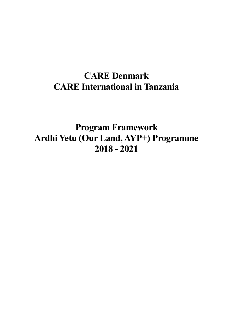# **CARE Denmark CARE International in Tanzania**

**Program Framework Ardhi Yetu (Our Land, AYP+) Programme 2018 - 2021**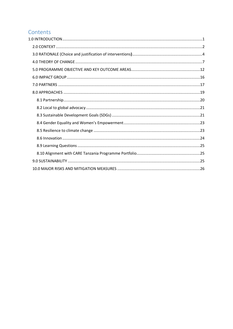# Contents

<span id="page-1-0"></span>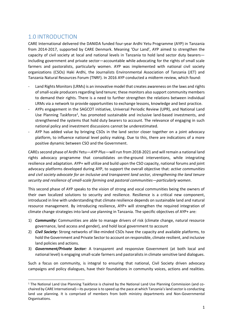# 1.0 INTRODUCTION

.

CARE International delivered the DANIDA funded four-year Ardhi Yetu Programme (AYP) in Tanzania from 2014-2017, supported by CARE Denmark. Meaning 'Our Land', AYP aimed to strengthen the capacity of civil society at local and national levels in Tanzania to hold land sector duty bearers including government and private sector—accountable while advocating for the rights of small scale farmers and pastoralists, particularly women. AYP was implemented with national civil society organizations (CSOs) Haki Ardhi, the Journalists Environmental Association of Tanzania (JET) and Tanzania Natural Resources Forum (TNRF). In 2016 AYP conducted a midterm review, which found:

- Land Rights Monitors (LRMs) is an innovative model that creates awareness on the laws and rights of small-scale producers regarding land tenure; these monitors also support community members to demand their rights. There is a need to further strengthen the relations between individual LRMs via a network to provide opportunities to exchange lessons, knowledge and best practice.
- AYPs engagement in the SAGCOT initiative, Universal Periodic Review (UPR), and National Land Use Planning Taskforce<sup>1</sup>, has promoted sustainable and inclusive land-based investments, and strengthened the systems that hold duty bearers to account. The relevance of engaging in such national policy and investment discussions cannot be underestimated.
- AYP has added value by bringing CSOs in the land sector closer together on a joint advocacy platform, to influence national level policy making. Due to this, there are indications of a more positive dynamic between CSO and the Government.

CAREs second phase of Ardhi Yetu—*AYP Plus*—will run from 2018-2021 and will remain a national land rights advocacy programme that consolidates on-the-ground interventions, while integrating resilience and adaptation. AYP+ will utilize and build upon the CSO capacity, national forums and joint advocacy platforms developed during AYP, to support the overall objective that: *active communities and civil society advocate for an inclusive and transparent land sector, strengthening the land tenure security and resilience of small-scale farming and pastoral communities—particularly women*.

This second phase of AYP speaks to the vision of strong and vocal communities being the owners of their own localized solutions to security and resilience. Resilience is a critical new component, introduced in line with understanding that climate resilience depends on sustainable land and natural resource management. By introducing resilience, AYP+ will strengthen the required integration of climate change strategies into land use planning in Tanzania. The specific objectives of AYP+ are:

- 1) *Community:* Communities are able to manage drivers of risk (climate change, natural resource governance, land access and gender), and hold local government to account
- 2) *Civil Society:* Strong networks of like-minded CSOs have the capacity and available platforms, to hold the Government and Private Sector to account on responsible, climate resilient, and inclusive land policies and actions.
- 3) *Government/Private Sector:* A transparent and responsive Government (at both local and national level) is engaging small-scale farmers and pastoralists in climate sensitive land dialogues.

Such a focus on community, is integral to ensuring that national, Civil Society driven advocacy campaigns and policy dialogues, have their foundations in community voices, actions and realities.

<sup>1</sup> The National Land Use Planning Taskforce is chaired by the National Land Use Planning Commission (and cochaired by CARE International)—its purpose is to speed up the pace at which Tanzania's land sector is conducting land use planning. It is comprised of members from both ministry departments and Non-Governmental Organisations.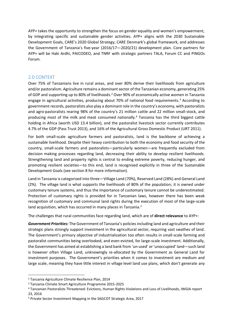AYP+ takes the opportunity to strengthen the focus on gender equality and women's empowerment, by integrating specific and sustainable gender activities. AYP+ aligns with the 2030 Sustainable Development Goals, CARE's 2020 Global Strategy, CARE Denmark's global framework, and addresses the Government of Tanzania's five-year (2016/17—2020/21) development plan. Core partners for AYP+ will be Haki Ardhi, PAICODEO, and TNRF with strategic partners TALA, Forum CC and PINGOs Forum.

# <span id="page-3-0"></span>2.0 CONTEXT

Over 75% of Tanzanians live in rural areas, and over 80% derive their livelihoods from agriculture and/or pastoralism. Agriculture remains a dominant sector of the Tanzanian economy, generating 25% of GDP and supporting up to 80% of livelihoods.<sup>2</sup> Over 90% of economically active women in Tanzania engage in agricultural activities, producing about 70% of national food requirements. <sup>3</sup> According to government records, pastoralists also play a dominant role in the country's economy, with pastoralists and agro-pastoralists rearing 98% of the country's 21 million cattle and 22 million small-stock, and producing most of the milk and meat consumed nationally.<sup>4</sup> Tanzania has the third biggest cattle holding in Africa (worth USD 13.4 billion), and the pastoralist livestock sector currently contributes 4.7% of the GDP (Pass Trust 2013), and 16% of the Agricultural Gross Domestic Product (URT 2011).

For both small-scale agriculture farmers and pastoralists, land is the backbone of achieving a sustainable livelihood. Despite their heavy contribution to both the economy and food security of the country, small-scale farmers and pastoralists—particularly women—are frequently excluded from decision making processes regarding land, decreasing their ability to develop resilient livelihoods. Strengthening land and property rights is central to ending extreme poverty, reducing hunger, and promoting resilient societies—to this end, land is recognised explicitly in three of the Sustainable Development Goals (see section 8 for more information).

Land in Tanzania is categorized into three—Village Land (70%), Reserved Land (28%) and General Land (2%). The village land is what supports the livelihoods of 80% of the population; it is owned under customary tenure systems, and thus the importance of customary tenure cannot be underestimated. Protection of customary rights is provided for in Tanzanian laws, however there has been weak recognition of customary and communal land rights during the execution of most of the large-scale land acquisition, which has occurred in many places in Tanzania.<sup>5</sup>

The challenges that rural communities face regarding land, which are of **direct relevance** to AYP+:

*Government Priorities:* The Government of Tanzania's policiesincluding land and agriculture and their strategic plans strongly support investment in the agricultural sector, requiring vast swathes of land. The Government's primary objective of industrialization too often results in small-scale farming and pastoralist communities being overlooked, and even evicted, for large-scale investment. Additionally, the Government has aimed at establishing a land bank from 'un-used' or 'unoccupied' land—such land is however often Village Land, unknowingly re-allocated by the Government as General Land for investment purposes. The Government's priorities when it comes to investment are medium and large scale, meaning they have little interest in village level land use plans, which don't generate any

<sup>2</sup> Tanzania Agriculture Climate Resilience Plan, 2014

<sup>3</sup> Tanzania Climate Smart Agriculture Programme 2015-2025

<sup>4</sup> Tanzanian Pastoralists Threatened: Evictions, Human Rights Violations and Loss of Livelihoods, IWGIA report 23, 2016

<sup>5</sup> Private Sector Investment Mapping in the SAGCOT Strategic Area, 2017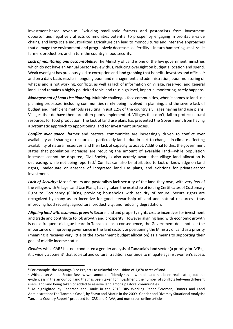investment-based revenue. Excluding small-scale farmers and pastoralists from investment opportunities negatively affects communities potential to prosper by engaging in profitable value chains, and large scale industrialized agriculture can lead to monocultures and intensive approaches that damage the environment and progressively decrease soil fertility—in turn hampering small-scale farmers production, and in turn the country's food security.

Lack of monitoring and accountability: The Ministry of Land is one of the few government ministries which do not have an Annual Sector Review thus, reducing oversight on budget allocation and spend. Weak oversight has previously led to corruption and land grabbing that benefits investors and officials<sup>6</sup> and on a daily basis results in ongoing poor land management and administration, poor monitoring of what is and is not working, conflicts, as well as lack of information on village, reserved, and general land. Land remains a highly politicized topic, and thus high level, impartial monitoring, rarely happens.

*Management of Land Use Planning:* Multiple challenges face communities, when it comes to land use planning processes, including communities rarely being involved in planning, and the severe lack of budget and inefficient methods resulting in just 12% of the country's villages having land use plans. Villages that do have them are often poorly implemented. Villages that don't, fail to protect natural resources for food production. The lack of land use plans has prevented the Government from having a systematic approach to apportioning land for investment purposes.

*Conflict over space:* farmer and pastoral communities are increasingly driven to conflict over availability and sharing of resources—particularly land—due in part to changes in climate affecting availability of natural resources, and their lack of capacity to adapt. Additional to this, the government states that population increases are reducing the amount of available land—while population increases cannot be disputed, Civil Society is also acutely aware that village land allocation is decreasing, while not being reported.<sup>7</sup> Conflict can also be attributed to lack of knowledge on land rights, inadequate or absence of integrated land use plans, and evictions for private-sector investment.

Lack of Security: Most farmers and pastoralists lack security of the land they own, with very few of the villages with Village Land Use Plans, having taken the next step of issuing Certificates of Customary Right to Occupancy (CCROs), providing households with security of tenure. Secure rights are recognized by many as an incentive for good stewardship of land and natural resources—thus improving food security, agricultural productivity, and reducing degradation.

*Aligning land with economic growth*: Secure land and property rights create incentives for investment and trade and contribute to job growth and prosperity. However aligning land with economic growth is not a frequent dialogue heard in Tanzania—as a consequence, the Government does not see the importance of improving governance in the land sector, or positioning the Ministry of Land as a priority (meaning it receives very little of the government budget allocation) as a means to supporting their goal of middle income status.

*Gender:* while CARE has not conducted a gender analysis of Tanzania'sland sector (a priority for AYP+), it is widely apparent<sup>8</sup> that societal and cultural traditions continue to mitigate against women's access

<sup>6</sup> For example, the Kapunga Rice Project Ltd unlawful acquisition of 1,870 acres of land

<sup>7</sup> Without an Annual Sector Review we cannot confidently say how much land has been reallocated, but the evidence is in the amount of land that has been taken for investment, the number of conflicts between different users, and land being taken or added to reserve land among pastoral communities.

<sup>8</sup> As highlighted by Pederson and Haule in the 2013 DIIS Working Paper "Women, Donors and Land Administration: The Tanzania Case", by Shayo and Martin in the 2009 "Gender and Diversity Situational Analysis: Tanzania Country Report" produced for CRS and C:AVA, and numerous online articles.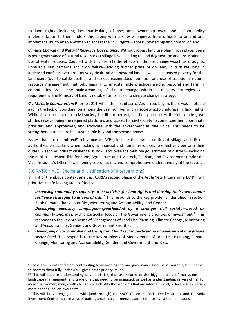to land rights—including lack particularly of use, and ownership over land. Poor policy implementation further hinders this, along with a slow willingness from officials to amend and implement law to enable women to access their full rights—access, ownership and control of land.

*Climate Change and Natural Resource Governance:* Without robust land use planning in place, there is poor governance of natural resources at village level, leading to land degradation and unsustainable use of water sources. Coupled with this are: (1) the effects of climate change—such as droughts, unreliable rain patterns and crop failure—adding further pressure on land, in turn resulting in increased conflicts over productive agricultural and pastoral land as well as increased poverty for the land-users (due to cattle deaths); and (2) decreasing documentation and use of traditional natural resource management methods, leading to unsustainable practices among pastoral and farming communities. While the mainstreaming of climate change within all ministry strategies is a requirement, the Ministry of Land is notable for its lack of a climate change strategy.

*Civil Society Coordination:* Prior to 2014, when the first phase of Ardhi Yetu began, there was a notable gap in the lack of coordination among the vast number of civil society actors addressing land rights. While this coordination of civil society is still not perfect, the first phase of Ardhi Yetu made great strides in developing the required platforms and spaces for civil society to come together, coordinate priorities and approaches, and advocate with the government as one voice. This needs to be strengthened to ensure it is sustainable beyond the second phase.

Issues that are of *indirect<sup>9</sup>* relevance to AYP+, include the low capacities of village and district authorities, particularly when looking at financial and human resources to effectively perform their duties. A second indirect challenge, is how land overlaps multiple government ministries—including the ministries responsible for Land, Agriculture and Livestock, Tourism, and Environment (under the Vice President's Office)—weakening coordination, and comprehensive understanding of the sector.

# <span id="page-5-0"></span>3.0 RATIONALE (Choice and justification of interventions)

.

In light of the above context analysis, CARE's second phase of the Ardhi Yetu Programme (AYP+) will prioritize the following areas of focus:

- *Increasing community's capacity to be activists for land rights and develop their own climate*  resilience strategies to drivers of risk.<sup>10</sup> This responds to the key problems (identified in section 2) of: Climate Change, Conflict, Monitoring and Accountability, and Gender.
- *Developing advocacy campaigns—spearheaded by a stronger civil society—based on*  community priorities, with a particular focus on the Government priorities of investment.<sup>11</sup> This responds to the key problems of Management of Land Use Planning, Climate Change, Monitoring and Accountability, Gender, and Government Priorities.
- *Developing an accountable and transparent land sector, particularly at government and private sector level*. This responds to the key problems of Management of Land Use Planning, Climate Change, Monitoring and Accountability, Gender, and Government Priorities.

<sup>9</sup> These are important factors contributing to weakening the land governance systems in Tanzania, but unable to address them fully under AYP+ given other priority issues

<sup>&</sup>lt;sup>10</sup> This will require understanding drivers of risk, that are related to the bigger picture of ecosystem and landscape management, and trade offs that need to be managed, as well as understanding drivers of risk for individual women, men, youth etc . This will identify the problems that are internal, social, or local issues, versus more national policy level shifts.

<sup>11</sup> This will be via engagement with (and through) the SAGCOT centre, Social Feeder Group, and Tanzania Investment Centre, as core ways of putting small-scale farmers/pastoralists into investment dialogues.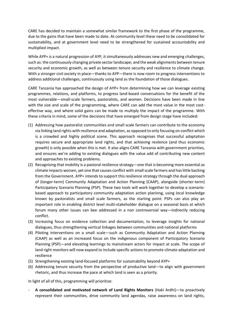CARE has decided to maintain a somewhat similar framework to the first phase of the programme, due to the gains that have been made to date. At community level these need to be consolidated for sustainability, and at government level need to be strengthened for sustained accountability and multiplied impact.

While AYP+ is a natural progression of AYP, it simultaneously addresses new and emerging challenges, such as: the continuously changing private sector landscape; and the weak alignments between tenure security and economic growth, as well as between tenure security and resilience to climate change. With a stronger civil society in place—thanks to AYP—there is now room to progress interventions to address additional challenges, continuously using land as the foundation of those dialogues.

CARE Tanzania has approached the design of AYP+ from determining how we can leverage existing programmes, relations, and platforms, to progress land-based conversations for the benefit of the most vulnerable—small-scale farmers, pastoralists, and women. Decisions have been made in line with the size and scale of the programming, where CARE can add the most value in the most costeffective way, and where solid gains can be made to multiply the impact of the programme. With these criteria in mind, some of the decisions that have emerged from design stage have included:

- (1) Addressing how pastoralist communities and small scale farmers can contribute to the economy via linking land rights with resilience and adaptation, as opposed to only focusing on conflict which is a crowded and highly political scene. This approach recognises that successful adaptation requires secure and appropriate land rights, and that achieving resilence (and thus economic growth) is only possible when this is met. It also aligns CARE Tanzania with government priorities, and ensures we're adding to existing dialogues with the value add of contributing new content and approaches to existing problems.
- (2) Recognising that mobility is a pastoral resilience strategy—one that is becoming more essential as climate impacts worsen, yet one that causes conflict with small scale farmers and has little backing from the Government. AYP+ intends to support this resilience strategy through the dual approach of (longer-term) Community Adaptation and Action Planning (CAAP), alongside (shorter-term) Participatory Scenario Planning (PSP). These two tools will work together to develop a scenariobased approach to participatory community adaptation action planinng, using local knowledge known by pastoralists and small scale farmers, as the starting point. PSPs can also play an important role in enabling district level multi-stakeholder dialogue on a seasonal basis at which forum many other issues can bee addressed in a non controversial way—indirectly reducing conflict.
- (3) Increasing focus on evidence collection and documentation, to leverage insights for national dialogues, thus strengthening vertical linkages between communities and national platforms
- (4) Piloting interventions on a small scale—such as Community Adaptation and Action Planning (CAAP) as well as an increased focus on the indigenous component of Participatory Scenario Planning (PSP)—and elevating learnings to mainstream actors for impact at scale. The scope of land right monitors will now expand to include specific actions to promote climate adaptation and resilience
- (5) Strengthening existing land-focused platforms for sustainability beyond AYP+
- (6) Addressing tenure security from the perspective of productive land—to align with government rhetoric, and thus increase the pace at which land is seen as a priority.

In light of all of this, programming will prioritize:

- **A consolidated and motivated network of Land Rights Monitors** (Haki Ardhi)—to proactively represent their communities, drive community land agendas, raise awareness on land rights,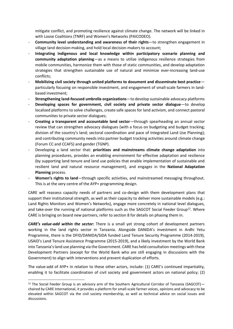mitigate conflict, and promoting resilience against climate change. The network will be linked in with Loose Coalitions (TNRF) and Women's Networks (PAICODEO).

- **Community level understanding and awareness of their rights**—to strengthen engagement in village land decision-making, and hold local decision-makers to account;
- **Integrating indigenous and local knowledge within participatory scenario planning and community adaptation planning**—as a means to utilize indigenous resilience strategies from mobile communities, harmonize them with those of static communities, and develop adaptation strategies that strengthen sustainable use of natural and minimize ever-increasing land-use conflicts;
- **Mobilizing civil society through united platforms to document and disseminate best practice** particularly focusing on responsible investment, and engagement of small-scale farmers in landbased investment;
- **Strengthening land-focused umbrella organizations**—to develop sustainable advocacy platforms
- Developing spaces for government, civil society and private sector dialogue-to develop localized platforms to solve challenges, create safe spaces for land activism, and connect pastoral communities to private sector dialogues;
- **Creating a transparent and accountable land sector**—through spearheading an annual sector review that can strengthen advocacy dialogues (with a focus on budgeting and budget tracking; division of the country's land; sectoral coordination and pace of Integrated Land Use Planning); and contributing community needs into partner budget tracking activities around climate change (Forum CC and CCAFS) and gender (TGNP).
- Developing a land sector that: **prioritizes and mainstreams climate change adaptation** into planning procedures, provides an enabling environment for effective adaptation and resilience (by supporting land tenure and land use policies that enable implementation of sustainable and resilient land and natural resource management), and engages in the **National Adaptation Planning** process.
- Women's rights to land—through specific activities, and mainstreamed messaging throughout. This is at the very centre of the AYP+ programming design.

CARE will reassess capacity needs of partners and co-design with them development plans that support their institutional strength, as well as their capacity to deliver more sustainable models (e.g.: Land Rights Monitors and Women's Networks), engage more concretely in national level dialogues, and take-over the running of national platforms such as the SAGCOT Social Feeder Group<sup>12</sup>. Where CARE is bringing on board new partners, refer to section 8 for details on phasing them in.

*CARE's value-add within the sector:* There is a small yet strong cohort of development partners working in the land rights sector in Tanzania. Alongside DANIDA's investment in Ardhi Yetu Programme, there is the DFID/DANIDA/SIDA funded Land Tenure Security Programme (2014-2019), USAID's Land Tenure Assistance Programme (2015-2019), and a likely investment by the World Bank into Tanzania's land use planning via the Government. CARE has held consultation meetings with these Development Partners (except for the World Bank who are still engaging in discussions with the Government) to align with interventions and prevent duplication of efforts.

The value-add of AYP+ in relation to these other actors, include: (1) CARE's continued impartiality, enabling it to facilitate coordination of civil society and government actors on national policy; (2)

 $12$  The Social Feeder Group is an advisory arm of the Southern Agricultural Corridor of Tanzania (SAGCOT) chaired by CARE International, it provides a platform for small-scale farmer voices, opinions and advocacy to be elevated within SAGCOT via the civil society membership, as well as technical advice on social issues and discussions.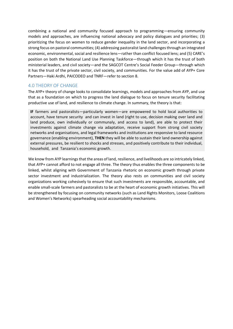combining a national and community focused approach to programming—ensuring community models and approaches, are influencing national advocacy and policy dialogues and priorities; (3) prioritizing the focus on women to reduce gender inequality in the land sector, and incorporating a strong focus on pastoral communities; (4) addressing pastoralist land challenges through an integrated economic, environmental, social and resilience lens—rather than conflict focused lens; and (5) CARE's position on both the National Land Use Planning Taskforce—through which it has the trust of both ministerial leaders, and civil society—and the SAGCOT Centre's Social Feeder Group—through which it has the trust of the private sector, civil society, and communities. For the value add of AYP+ Core Partners—Haki Ardhi, PAICODEO and TNRF—refer to section 8.

#### <span id="page-8-0"></span>4.0 THEORY OF CHANGE

The AYP+ theory of change looks to consolidate learnings, models and approaches from AYP, and use that as a foundation on which to progress the land dialogue to focus on tenure security facilitating productive use of land, and resilience to climate change. In summary, the theory is that:

**IF** farmers and pastoralists—particularly women—are empowered to hold local authorities to account, have tenure security and can invest in land (right to use, decision making over land and land produce, own individually or communaly, and access to land), are able to protect their investments against climate change via adaptation, receive support from strong civil society networks and organisations, and legal frameworks and institutions are responsive to land resource governance (enabling environment), **THEN** they will be able to sustain their land ownership against external pressures, be resilient to shocks and stresses, and positively contribute to their individual, household, and Tanzania's economic growth.

We know from AYP learnings that the areas of land, resilience, and livelihoods are so intricately linked, that AYP+ cannot afford to not engage all three. The theory thus enables the three components to be linked, whilst aligning with Government of Tanzania rhetoric on economic growth through private sector investment and industrialization. The theory also rests on communities and civil society organizations working cohesively to ensure that such investments are responsible, accountable, and enable small-scale farmers and pastoralists to be at the heart of economic growth initiatives. This will be strengthened by focusing on community networks (such as Land Rights Monitors, Loose Coalitions and Women's Networks) spearheading social accountability mechanisms.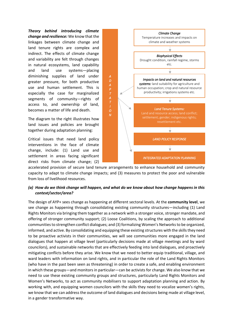*Theory behind introducing climate change and resilience:* We know that the linkages between climate change and land tenure rights are complex and indirect. The effects of climate change and variability are felt through changes in natural ecosystems, land capability and land use systems—placing diminishing supplies of land under greater pressure, for both productive use and human settlement. This is especially the case for marginalized segments of community—rights of access to, and ownership of land, becomes a matter of life and death.

The diagram to the right illustrates how land issues and policies are brought together during adaptation planning:

Critical issues that need land policy interventions in the face of climate change, include: (1) Land use and settlement in areas facing significant direct risks from climate change; (2)



accelerated provision of secure land tenure arrangements to enhance household and community capacity to adapt to climate change impacts; and (3) measures to protect the poor and vulnerable from loss of livelihood resources.

# *(a) How do we think change will happen, and what do we know about how change happens in this context/sector/area?*

The design of AYP+ sees change as happening at different sectoral levels. At the **community level**, we see change as happening through consolidating existing community structures—including (1) Land Rights Monitors via bringing them together as a network with a stronger voice, stronger mandate, and offering of stronger community support; (2) Loose Coalitions, by scaling the approach to additional communities to strengthen conflict dialogues; and (3) formalizing Women's Networks to be organized, informed, and active. By consolidating and equipping these existing structures with the skills they need to be proactive activists in their communities, we will see communities more engaged in the land dialogues that happen at village level (particularly decisions made at village meetings and by ward councilors), and sustainable networks that are effectively feeding into land dialogues, and proactively mitigating conflicts before they arise. We know that we need to better equip traditional, village, and ward leaders with information on land rights, and in particular the role of the Land Rights Monitors (who have in the past been seen as threatening) in order to create a safe, and enabling environment in which these groups—and monitors in particular—can be activists for change. We also know that we need to use these existing community groups and structures, particularly Land Rights Monitors and Women's Networks, to act as community mobilisers to support adaptation planning and action. By working with, and equipping women councilors with the skills they need to vocalize women's rights, we know that we can address the outcome of land dialogues and decisions being made at village level, in a gender transformative way.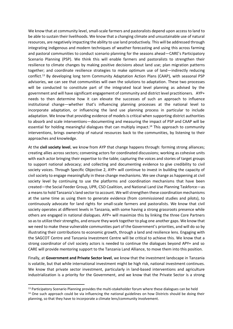We know that at community level, small-scale farmers and pastoralists depend upon access to land to be able to sustain their livelihoods. We know that a changing climate and unsustainable use of natural resources, are negatively impacting the ability to use land productively. This will be addressed through integrating indigenous and modern techniques of weather forecasting and using this across farming and pastoral communities to conduct scenario planning for the seasons ahead—CARE's Participatory Scenario Planning (PSP). We think this will enable farmers and pastoralists to strengthen their resilience to climate changes by making positive decisions about land use; plan migration patterns together; and coordinate resilience strategies to make optimum use of land—indirectly reducing conflict.<sup>13</sup> By developing long term Community Adaptation Action Plans (CAAP), with seasonal PSP advisories, we can see that communities will own the solutions to adaptation. These two processes will be conducted to constitute part of the integrated local level planning as advised by the government and will have significant engagement of community and district level practitioners. AYP+ needs to then determine how it can elevate the successes of such an approach to influence institutional change—whether that's influencing planning processes at the national level to incorporate adaptation, or influencing the land use planning process in particular to include adaptation. We know that providing evidence of models is critical when supporting district authorities to absorb and scale interventions—documenting and measuring the impact of PSP and CAAP will be essential for holding meaningful dialogues that can multiply impact.<sup>14</sup> This approach to community interventions, brings ownership of natural resources back to the communities, by listening to their approaches and knowledge.

At the **civil society level**, we know from AYP that change happens through: forming strong alliances; creating allies across sectors; convening actors for coordinated discussions; working as cohesive units with each actor bringing their expertise to the table; capturing the voices and stories of target groups to support national advocacy; and collecting and documenting evidence to give credibility to civil society voices. Through Specific Objective 2, AYP+ will continue to invest in building the capacity of civil society to engage meaningfully in these change mechanisms. We see change as happening at civil society level by continuing to use the platforms and coordination mechanisms that have been created—the Social Feeder Group, UPR, CSO Coalition, and National Land Use Planning Taskforce—as a means to hold Tanzania's land sector to account. We will strengthen these coordination mechanisms at the same time as using them to generate evidence (from commissioned studies and pilots), to continuously advocate for land rights for small-scale farmers and pastoralists. We know that civil society operates at different levels in Tanzania, with some having a strong grassroots presence while others are engaged in national dialogues. AYP+ will maximize this by linking the three Core Partners so as to utilize their strengths, and ensure they work together to plug one another gaps. We know that we need to make these vulnerable communities part of the Government's priorities, and will do so by illustrating their contributions to economic growth, through a land and resilience lens. Engaging with the SAGCOT Centre and Tanzania Investment Centre will be critical to achieve this. We know that a strong coordinator of civil society actors is needed to continue the dialogues beyond APY+ and so CARE will provide mentoring support to the Tanzania Land Alliance, to move them into this position.

Finally, at **Government and Private Sector level**, we know that the investment landscape in Tanzania is volatile, but that while international investment might be high risk, national investment continues. We know that private sector investment, particularly in land-based interventions and agriculture industrialization is a priority for the Government, and we know that the Private Sector is a strong

<sup>&</sup>lt;sup>13</sup> Participatory Scenario Planning provides the multi-stakeholder forum where these dialogues can be held  $14$  One such approach could be via influencing the national guidelines on how Districts should be doing their planning, so that they have to incorporate a climate lens/community involvement.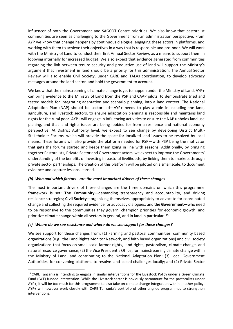influencer of both the Government and SAGCOT Centre priorities. We also know that pastoralist communities are seen as challenging to the Government from an administration perspective. From AYP we know that change happens by continuous dialogue, engaging these actors in platforms, and working with them to achieve their objectives in a way that is responsible and pro-poor. We will work with the Ministry of Land to conduct their first Annual Sector Review, as a means to support them in lobbying internally for increased budget. We also expect that evidence generated from communities regarding the link between tenure security and productive use of land will support the Ministry's argument that investment in land should be a priority for this administration. The Annual Sector Review will also enable Civil Society, under CARE and TALAs coordination, to develop advocacy messages around the land sector, and hold the government to account.

We know that the mainstreaming of climate change is yet to happen under the Ministry of Land. AYP+ can bring evidence to the Ministry of Land from the PSP and CAAP pilots, to demonstrate tried and tested models for integrating adaptation and scenario planning, into a land context. The National Adaptation Plan (NAP) should be sector led—AYP+ needs to play a role in including the land, agriculture, and livestock sectors, to ensure adaptation planning is responsible and maintains land rights for the rural poor. AYP+ will engage in influencing activities to ensure the NAP upholds land use planing, and that land rights issues are being lobbied for from a resilience and national economy perspective. At District Authority level, we expect to see change by developing District Multi-Stakeholder Forums, which will provide the space for localized land issues to be resolved by local means. These forums will also provide the platform needed for PSP—with PSP being the motivator that gets the forums started and keeps them going in line with seasons. Additionally, by bringing together Pastoralists, Private Sector and Government actors, we expect to improve the Governments' understanding of the benefits of investing in pastoral livelihoods, by linking them to markets through private sector partnerships. The creation of this platform will be piloted on a small scale, to document evidence and capture lessons learned.

#### *(b) Who and which factors - are the most important drivers of these changes*

The most important drivers of these changes are the three domains on which this programme framework is set: **The Community**—demanding transparency and accountability, and driving resilience strategies; **Civil Society**—organizing themselves appropriately to advocate for coordinated change and collecting the required evidence for advocacy dialogues; and **the Government—**who need to be responsive to the communities they govern, champion priorities for economic growth, and prioritize climate change within all sectors in general, and in land in particular. <sup>15</sup>

#### *(c) Where do we see resistance and where do we see support for these changes?*

.

We see support for these changes from: (1) Farming and pastoral communities, community based organizations (e.g.: the Land Rights Monitor Network, and faith based organizations) and civil society organizations that focus on small-scale farmer rights, land rights, pastoralism, climate change, and natural resource governance; (2) the Vice President's Office, for mainstreaming climate change within the Ministry of Land, and contributing to the National Adaptation Plan; (3) Local Government Authorities, for convening platforms to resolve land-based challenges locally; and (4) Private Sector

<sup>&</sup>lt;sup>15</sup> CARE Tanzania is intending to engage in similar interventions for the Livestock Policy under a Green Climate Fund (GCF) funded intervention. While the Livestock sector is obviously paramount for the pastoralists under AYP+, it will be too much for this programme to also take on climate change integration within another policy. AYP+ will however work closely with CARE Tanzania's portfolio of other aligned programmes to strengthen interventions.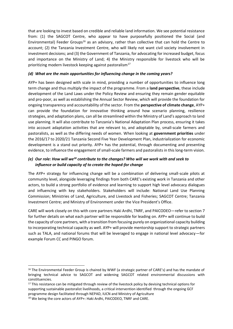that are looking to invest based on credible and reliable land information. We see potential resistance from: (1) the SAGCOT Centre, who appear to have purposefully positioned the Social (and Environmental) Feeder Groups<sup>16</sup> as an advisory, rather than collective that can hold the Centre to account; (2) the Tanzania Investment Centre, who will likely not want civil society involvement in investment decisions; and (3) the Government of Tanzania, for advocating for increased budget, focus and importance on the Ministry of Land; 4) the Ministry responsible for livestock who will be prioritizing modern livestock keeping against pastoralism<sup>17</sup>

#### *(d) What are the main opportunities for influencing change in the coming years?*

AYP+ has been designed with scale in mind, providing a number of opportunities to influence long term change and thus multiply the impact of the programme. From a **land perspective**, these include development of the Land Laws under the Policy Review and ensuring they remain gender equitable and pro-poor, as well as establishing the Annual Sector Review, which will provide the foundation for ongoing transparency and accountability of the sector. From the **perspective of climate change**, AYP+ can provide the foundation for innovative thinking around how scenario planning, resilience strategies, and adaptation plans, can all be streamlined within the Ministry of Land's approach to land use planning. It will also contribute to Tanzania's National Adaptation Plan process, ensuring it takes into account adaptation activities that are relevant to, and adoptable by, small-scale farmers and pastoralists, as well as the differing needs of women. When looking at **government priorities** under the 2016/17 to 2020/21 Tanzania Second Five Year Development Plan, industrialization for economic development is a stand out priority. AYP+ has the potential, through documenting and presenting evidence, to influence the engagement of small-scale farmers and pastoralists in this long-term vision.

## *(e) Our role: How will we<sup>18</sup> contribute to the changes? Who will we work with and seek to influence or build capacity of to create the hoped-for change*

The AYP+ strategy for influencing change will be a combination of delivering small-scale pilots at community level, alongside leveraging findings from both CARE's existing work in Tanzania and other actors, to build a strong portfolio of evidence and learning to support high level advocacy dialogues and influencing with key stakeholders. Stakeholders will include: National Land Use Planning Commission; Ministries of Land, Agriculture, and Livestock and Fisheries; SAGCOT Centre; Tanzania Investment Centre; and Ministry of Environment under the Vice President's Office.

CARE will work closely on this with core partners Haki Ardhi, TNRF, and PAICODEO—refer to section 7 for further details on what each partner will be responsible for leading on. AYP+ will continue to build the capacity of core partners, with a transition from focusing purely on organizational capacity building to incorporating technical capacity as well. AYP+ will provide mentorship support to strategic partners such as TALA, and national forums that will be leveraged to engage in national level advocacy—for example Forum CC and PINGO forum.

<sup>&</sup>lt;sup>16</sup> The Environmental Feeder Group is chaired by WWF (a strategic partner of CARE's) and has the mandate of bringing technical advice to SAGCOT and widening SAGCOT related environmental discussions with constituencies.

<sup>&</sup>lt;sup>17</sup> This resistance can be mitigated through review of the livestock policy by devising technical options for supporting sustainable pastoralist livelihoods, a critical intervention identified through the ongoing GCF programme design facilitated through NEPAD, IUCN and Ministry of Agriculture

<sup>18</sup> We being the core actors of AYP+: Haki Ardhi, PAICODEO, TNRF and CARE.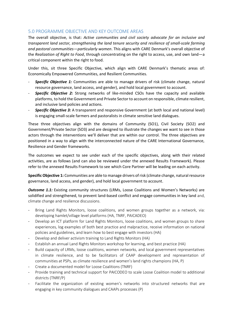# <span id="page-13-0"></span>5.0 PROGRAMME OBJECTIVE AND KEY OUTCOME AREAS

The overall objective, is that: *Active communities and civil society advocate for an inclusive and transparent land sector, strengthening the land tenure security and resilience of small-scale farming and pastoral communities—particularly women*. This aligns with CARE Denmark's overall objective of the *Realization of Right to Food*, through concentrating on the right to access, use, and own land—a critical component within the right to food.

Under this, sit three Specific Objective, which align with CARE Denmark's thematic areas of: Economically Empowered Communities, and Resilient Communities.

- *Specific Objective 1:* Communities are able to manage drivers of risk (climate change, natural resource governance, land access, and gender), and hold local government to account.
- **Specific Objective 2:** Strong networks of like-minded CSOs have the capacity and available platforms, to hold the Government and Private Sector to account on responsible, climate resilient, and inclusive land policies and actions.
- *Specific Objective 3:* A transparent and responsive Government (at both local and national level) is engaging small-scale farmers and pastoralists in climate sensitive land dialogues.

These three objectives align with the domains of Community (SO1), Civil Society (SO2) and Government/Private Sector (SO3) and are designed to illustrate the changes we want to see in those actors through the interventions we'll deliver that are within our control. The three objectives are positioned in a way to align with the interconnected nature of the CARE International Governance, Resilience and Gender frameworks.

The outcomes we expect to see under each of the specific objectives, along with their related activities, are as follows (and can also be reviewed under the annexed Results Framework). Please refer to the annexed Results Framework to see which Core Partner will be leading on each activity.

**Specific Objective 1:** Communities are able to manage drivers of risk (climate change, natural resource governance, land access, and gender), and hold local government to account.

**Outcome 1.1:** Existing community structures (LRMs, Loose Coalitions and Women's Networks) are solidified and strengthened, to prevent land-based conflict and engage communities in key land and, climate change and resilience discussions.

- Bring Land Rights Monitors, loose coalitions, and women groups together as a network, via: developing hamlet/village level platforms (HA, TNRF, PAICADEO)
- Develop an ICT platform for Land Rights Monitors, loose coalitions, and women groups to share experiences, log examples of both best practice and malpractice, receive information on national policies and guidelines, and learn how to best engage with investors (HA)
- Develop and deliver activism training to Land Rights Monitors (HA)
- Establish an annual Land Rights Monitors workshop for learning, and best practice (HA)
- Build capacity of LRMs, loose coalitions, women networks, and local government representatives in climate resilience, and to be facilitators of CAAP development and representation of communities at PSPs, as climate resilience and women's land rights champions (HA, P)
- Create a documented model for Loose Coalitions (TNRF)
- Provide training and technical support for PAICODEO to scale Loose Coalition model to additional districts (TNRF/P)
- Facilitate the organization of existing women's networks into structured networks that are engaging in key community dialogues and CAAPs processes (P)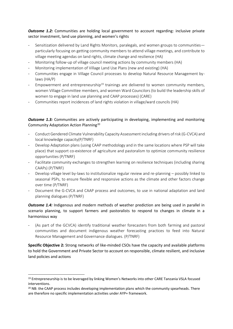*Outcome 1.2:* Communities are holding local government to account regarding: inclusive private sector investment, land use planning, and women's rights

- Sensitization delivered by Land Rights Monitors, paralegals, and women groups to communities particularly focusing on getting community members to attend village meetings, and contribute to village meeting agendas on land rights, climate change and resilience (HA)
- Monitoring follow-up of village council meeting actions by community members (HA)
- Monitoring implementation of Village Land Use Plans (new and existing) (HA)
- Communities engage in Village Council processes to develop Natural Resource Management bylaws (HA/P)
- Empowerment and entrepreneurship<sup>19</sup> trainings are delivered to women community members, women Village Committee members, and women Ward Councilors (to build the leadership skills of women to engage in land use planning and CAAP processes) (CARE)
- Communities report incidences of land rights violation in village/ward councils (HA)

# **Outcome 1.3:** Communities are actively participating in developing, implementing and monitoring Community Adaptation Action Planning<sup>20</sup>

- Conduct Gendered Climate Vulnerability Capacity Assessment including drivers of risk (G-CVCA) and local knowledge capacity(P/TNRF)
- Develop Adaptation plans (using CAAP methodology and in the same locations where PSP will take place) that support co-existence of agriculture and pastoralism to optimize community resilience opportunities (P/TNRF)
- Facilitate community exchanges to strengthen learning on resilience techniques (including sharing CAAPs) (P/TNRF)
- Develop village level by-laws to institutionalize regular review and re-planning possibly linked to seasonal PSPs, to ensure flexible and responsive actions as the climate and other factors change over time (P/TNRF)
- Document the G-CVCA and CAAP process and outcomes, to use in national adaptation and land planning dialogues (P/TNRF)

# **Outcome 1.4:** Indigenous and modern methods of weather prediction are being used in parallel in scenario planning, to support farmers and pastoralists to respond to changes in climate in a harmonious way

(As part of the GCVCA) identify traditional weather forecasters from both farming and pastoral communities and document indigenous weather forecasting practices to feed into Natural Resource Management and Governance dialogues. (P/TNRF)

**Specific Objective 2:** Strong networks of like-minded CSOs have the capacity and available platforms to hold the Government and Private Sector to account on responsible, climate resilient, and inclusive land policies and actions

<sup>19</sup> Entrepreneurship is to be leveraged by linking Women's Networks into other CARE Tanzania VSLA focused interventions.

<sup>&</sup>lt;sup>20</sup> NB: the CAAP process includes developing implementation plans which the community spearheads. There are therefore no specific implementation activities under AYP+ framework.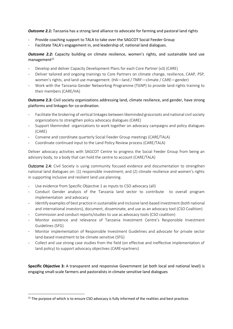*Outcome 2.1:* Tanzania has a strong land alliance to advocate for farming and pastoral land rights

- Provide coaching support to TALA to take over the SAGCOT Social Feeder Group
- Facilitate TALA's engagement in, and leadership of, national land dialogues.

# **Outcome 2.2:** Capacity building on climate resilience, women's rights, and sustainable land use  $m$ anagement<sup>21</sup>

- Develop and deliver Capacity Development Plans for each Core Partner (x3) (CARE)
- Deliver tailored and ongoing trainings to Core Partners on climate change, resilience, CAAP, PSP, women's rights, and land use management. (HA—land / TNRF—climate / CARE—gender)
- Work with the Tanzania Gender Networking Programme (TGNP) to provide land rights training to their members (CARE/HA)

**Outcome 2.3:** Civil society organizations addressing land, climate resilience, and gender, have strong platforms and linkages for co-ordination.

- Facilitate the brokering of vertical linkages between likeminded grassroots and national civil society organizations to strengthen policy advocacy dialogues (CARE)
- Support likeminded organizations to work together on advocacy campaigns and policy dialogues (CARE)
- Convene and coordinate quarterly Social Feeder Group meetings (CARE/TALA)
- Coordinate continued input to the Land Policy Review process (CARE/TALA)

Deliver advocacy activities with SAGCOT Centre to progress the Social Feeder Group from being an advisory body, to a body that can hold the centre to account (CARE/TALA)

Outcome 2.4: Civil Society is using community focused evidence and documentation to strengthen national land dialogues on: (1) responsible investment; and (2) climate resilience and women's rights in supporting inclusive and resilient land use planning.

- Use evidence from Specific Objective 1 as inputs to CSO advocacy (all)
- Conduct Gender analysis of the Tanzania land sector to contribute to overall program implementation and advocacy
- Identify examples of best practice in sustainable and inclusive land-based investment (both national and international investors), document, disseminate, and use as an advocacy tool (CSO Coalition)
- Commission and conduct reports/studies to use as advocacy tools (CSO coalition)
- Monitor existence and relevance of Tanzania Investment Centre's Responsible Investment Guidelines (SFG)
- Monitor implementation of Responsible Investment Guidelines and advocate for private sector land-based investment to be climate sensitive (SFG)
- Collect and use strong case studies from the field (on effective and ineffective implementation of land policy) to support advocacy objectives (CARE+partners)

**Specific Objective 3:** A transparent and responsive Government (at both local and national level) is engaging small-scale farmers and pastoralists in climate sensitive land dialogues

<sup>&</sup>lt;sup>21</sup> The purpose of which is to ensure CSO advocacy is fully informed of the realities and best practices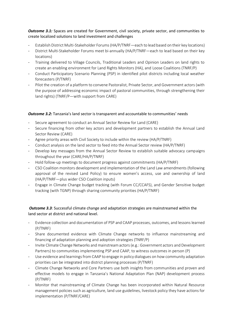**Outcome 3.1:** Spaces are created for Government, civil society, private sector, and communities to create localized solutions to land investment and challenges

- Establish District Multi-Stakeholder Forums (HA/P/TNRF—each to lead based on their key locations)
- District Multi-Stakeholder Forums meet bi-annually (HA/P/TNRF—each to lead based on their key locations)
- Training delivered to Village Councils, Traditional Leaders and Opinion Leaders on land rights to create an enabling environment for Land Rights Monitors (HA), and Loose Coalitions (TNRF/P)
- Conduct Participatory Scenario Planning (PSP) in identified pilot districts including local weather forecasters (P/TNRF)
- Pilot the creation of a platform to convene Pastoralist, Private Sector, and Government actors (with the purpose of addressing economic impact of pastoral communities, through strengthening their land rights) (TNRF/P—with support from CARE)

# **Outcome 3.2:** Tanzania's land sector is transparent and accountable to communities' needs

- Secure agreement to conduct an Annual Sector Review for Land (CARE)
- Secure financing from other key actors and development partners to establish the Annual Land Sector Review (CARE)
- Agree priority areas with Civil Society to include within the review (HA/P/TNRF)
- Conduct analysis on the land sector to feed into the Annual Sector review (HA/P/TNRF)
- Develop key messages from the Annual Sector Review to establish suitable advocacy campaigns throughout the year (CARE/HA/P/TNRF)
- Hold follow-up meetings to document progress against commitments (HA/P/TNRF)
- CSO Coalition monitors development and implementation of the Land Law amendments (following approval of the revised Land Policy) to ensure women's access, use and ownership of land (HA/P/TNRF—plus wider CSO Coalition inputs)
- Engage in Climate Change budget tracking (with Forum CC/CCAFS), and Gender Sensitive budget tracking (with TGNP) through sharing community priorities (HA/P/TNRF)

*Outcome 3.3*: Successful climate change and adaptation strategies are mainstreamed within the land sector at district and national level.

- Evidence collection and documentation of PSP and CAAP processes, outcomes, and lessons learned (P/TNRF)
- Share documented evidence with Climate Change networks to influence mainstreaming and financing of adaptation planning and adoption strategies (TNRF/P)
- Invite Climate Change Networks and mainstream actors (e.g.: Government actors and Development Partners) to communities implementing PSP and CAAP, to witness outcomes in person (P)
- Use evidence and learnings from CAAP to engage in policy dialogues on how community adaptation priorities can be integrated into district planning processes (P/TNRF)
- Climate Change Networks and Core Partners use both insights from communities and proven and effective models to engage in Tanzania's National Adaptation Plan (NAP) development process (P/TNRF)
- Monitor that mainstreaming of Climate Change has been incorporated within Natural Resource management policies such as agriculture, land use guidelines, livestock policy they have actions for implementation (P/TNRF/CARE)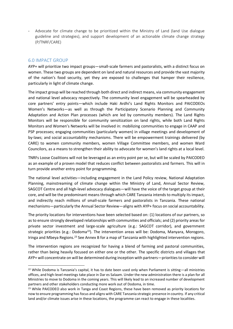Advocate for climate change to be prioritized within the Ministry of Land (land Use dialogue guideline and strategies), and support development of an actionable climate change strategy (P/TNRF/CARE)

# <span id="page-17-0"></span>6.0 IMPACT GROUP

.

AYP+ will prioritize two impact groups—small-scale farmers and pastoralists, with a distinct focus on women. These two groups are dependent on land and natural resources and provide the vast majority of the nation's food security, yet they are exposed to challenges that hamper their resilience, particularly in light of climate change.

The impact group will be reached through both direct and indirect means, via community engagement and national level advocacy respectively. The community level engagement will be spearheaded by core partners' entry points—which include Haki Ardhi's Land Rights Monitors and PAICODEOs Women's Networks—as well as through the Participatory Scenario Planning and Community Adaptation and Action Plan processes (which are led by community members). The Land Rights Monitors will be responsible for community sensitization on land rights, while both Land Rights Monitors and Women's Networks will be involved in: mobilizing communities to engage in CAAP and PSP processes; engaging communities (particularly women) in village meetings and development of by-laws; and social accountability mechanisms. There will be empowerment trainings delivered (by CARE) to women community members, women Village Committee members, and women Ward Councilors, as a means to strengthen their ability to advocate for women's land rights at a local level.

TNRFs Loose Coalitions will not be leveraged as an entry point per se, but will be scaled by PAICODEO as an example of a proven model that reduces conflict between pastoralists and farmers. This will in turn provide another entry point for programming.

The national level activities—including engagement in the Land Policy review, National Adaptation Planning, mainstreaming of climate change within the Ministry of Land, Annual Sector Review, SAGCOT Centre and all high-level advocacy dialogues—will have the voice of the target group at their core, and will be the predominant means through which CARE Tanzania intends to multiply its impact, and indirectly reach millions of small-scale farmers and pastoralists in Tanzania. These national mechanisms—particularly the Annual Sector Review—aligns with AYP+ focus on social accountability.

The priority locations for interventions have been selected based on: (1) locations of our partners, so as to ensure strongly developed relationships with communities and officials; and (2) priority areas for private sector investment and large-scale agriculture (e.g.: SAGCOT corridor), and government strategic priorities (e.g.: Dodoma<sup>22</sup>). The intervention areas will be: Dodoma, Manyara, Morogoro, Iringa and Mbeya Regions.<sup>23</sup> See Annex B for a map of Tanzania with highlighted intervention regions.

The intervention regions are recognized for having a blend of farming and pastoral communities, rather than being heavily focused on either one or the other. The specific districts and villages that AYP+ will concentrate on will be determined during inception with partners—priorities to consider will

<sup>&</sup>lt;sup>22</sup> While Dodoma is Tanzania's capital, it has to date been used only when Parliament is sitting—all ministries offices, and high-level meetings take place in Dar es Salaam. Under the new administration there is a plan for all Ministries to move to Dodoma in the coming years. This will likely lead to an increased number of development partners and other stakeholders conducting more work out of Dodoma, in time.

<sup>&</sup>lt;sup>23</sup> While PAICODEO also work in Tanga and Coast Regions, these have been removed as priority locations for now to ensure programming has focus and aligns with CARE Tanzania strategic presence in country. If any critical land and/or climate issues arise in these locations, the programme can react to engage in these localities.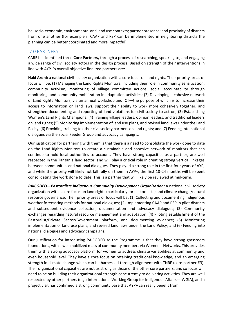be: socio-economic, environmental and land use contexts; partner presence; and proximity of districts from one another (for example if CAAP and PSP can be implemented in neighboring districts the planning can be better coordinated and more impactful).

# <span id="page-18-0"></span>7.0 PARTNERS

CARE has identified three **Core Partners,** through a process of researching, speaking to, and engaging a wide range of civil society actors in the design process. Based on strength of their interventions in line with AYP+'s overall objective finalized partners are:

**Haki Ardhi:** a national civil society organization with a core focus on land rights. Their priority areas of focus will be: (1) Managing the Land Rights Monitors, including their role in community sensitization, community activism, monitoring of village committee actions, social accountability through monitoring, and community mobilization in adaptation activities; (2) Developing a cohesive network of Land Rights Monitors, via an annual workshop and ICT—the purpose of which is to increase their access to information on land laws, support their ability to work more cohesively together, and strengthen documenting and reporting of land violations for civil society to act on; (3) Establishing Women's Land Rights Champions; (4) Training village leaders, opinion leaders, and traditional leaders on land rights; (5) Monitoring implementation of land use plans, and revised land laws under the Land Policy; (6) Providing training to other civil society partners on land rights; and (7) Feeding into national dialogues via the Social Feeder Group and advocacy campaigns.

Our justification for partnering with them is that there is a need to consolidate the work done to date on the Land Rights Monitors to create a sustainable and cohesive network of monitors that can continue to hold local authorities to account. They have strong capacities as a partner, are well respected in the Tanzania land sector, and will play a critical role in creating strong vertical linkages between communities and national dialogues. They played a strong role in the first four years of AYP, and while the priority will likely not fall fully on them in AYP+, the first 18-24 months will be spent consolidating the work done to date. This is a partner that will likely be reviewed at mid-term.

*PAICODEO—Pastoralists Indigenous Community Development Organization:* a national civil society organization with a core focus on land rights (particularly for pastoralists) and climate change/natural resource governance. Their priority areas of focus will be: (1) Collecting and documenting indigenous weather forecasting methods for national dialogues; (2) Implementing CAAP and PSP in pilot districts and subsequent evidence collection, documentation and advocacy dialogues; (3) Community exchanges regarding natural resource management and adaptation; (4) Piloting establishment of the Pastoralist/Private Sector/Government platform, and documenting evidence; (5) Monitoring implementation of land use plans, and revised land laws under the Land Policy; and (6) Feeding into national dialogues and advocacy campaigns.

Our justification for introducing PAICODEO to the Programme is that they have strong grassroots foundations, with a well mobilized mass of community members via Women's Networks. This provides them with a strong advocacy platform for women to address climate variabilities at community and even household level. They have a core focus on retaining traditional knowledge, and an emerging strength in climate change which can be harnessed through alignment with TNRF (core partner #3). Their organizational capacities are not as strong as those of the other core partners, and so focus will need to be on building their organizational strength concurrently to delivering activities. They are well respected by other partners (e.g.: International Working Group for Indigenous Affairs—IWGIA), and a project visit has confirmed a strong community base that AYP+ can really benefit from.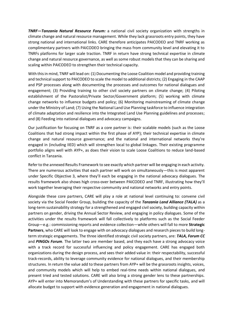*TNRF—Tanzania Natural Resource Forum:* a national civil society organization with strengths in climate change and natural resource management. While they lack grassroots entry points, they have strong national and international links. CARE therefore anticipates PAICODEO and TNRF working as complimentary partners with PAICODEO bringing the mass from community level and elevating it to TNRFs platforms for larger scale traction. TNRF in return have strong technical expertise in climate change and natural resource governance, as well as some robust models that they can be sharing and scaling within PAICODEO to strengthen their technical capacity.

With this in mind, TNRF will lead on: (1) Documenting the Loose Coalition model and providing training and technical support to PAICODEO to scale the model to additional districts; (2) Engaging in the CAAP and PSP processes along with documenting the processes and outcomes for national dialogues and engagement; (3) Providing training to other civil society partners on climate change; (4) Piloting establishment of the Pastoralist/Private Sector/Government platform; (5) working with climate change networks to influence budgets and policy; (6) Monitoring mainstreaming of climate change under the Ministry of Land; (7) Using the National Land Use Planning taskforce to influence integration of climate adaptation and resilience into the Integrated Land Use Planning guidelines and processes; and (8) Feeding into national dialogues and advocacy campaigns.

Our justification for focusing on TNRF as a core partner is: their scalable models (such as the Loose Coalitions that had strong impact within the first phase of AYP); their technical expertise in climate change and natural resource governance; and the national and international networks they're engaged in (including IIED) which will strengthen local to global linkages. Their existing programme portfolio aligns well with AYP+, as does their vision to scale Loose Coalitions to reduce land-based conflict in Tanzania.

Refer to the annexed Results Framework to see exactly which partner will be engaging in each activity. There are numerous activities that each partner will work on simultaneously—this is most apparent under Specific Objective 3, where they'll each be engaging in the national advocacy dialogues. The results framework also shows high cross-over between PAICODEO and TNRF, illustrating how they'll work together leveraging their respective community and national networks and entry points.

Alongside these core partners, CARE will play a role at national level continuing to: convene civil society via the Social Feeder Group, building the capacity of the *Tanzania Land Alliance (TALA)* as a long-term sustainability strategy for a strengthened and engaged civil society, building capacity within partners on gender, driving the Annual Sector Review, and engaging in policy dialogues. Some of the activities under the results framework will fall collectively to platforms such as the Social Feeder Group—e.g.: commissioning reports and evidence collection—while others will fall to more **Strategic Partners**, who CARE will look to engage with on advocacy dialogues and research pieces to build longterm strategic engagements. The three identified strategic civil society partners, are: *TALA, Forum CC* and *PINGOs Forum*. The latter two are member based, and they each have a strong advocacy voice with a track record for successful influencing and policy engagement. CARE has engaged both organizations during the design process, and sees their added value in: their respectability, successful track-records, ability to leverage community evidence for national dialogues, and their membership structures. In return the value add to these partners from AYP+ will be the grassroots insights, voices, and community models which will help to embed real-time needs within national dialogues, and present tried and tested solutions. CARE will also bring a strong gender lens to these partnerships. AYP+ will enter into Memorandum's of Understanding with these partners for specific tasks, and will allocate budget to support with evidence generation and engagement in national dialogues.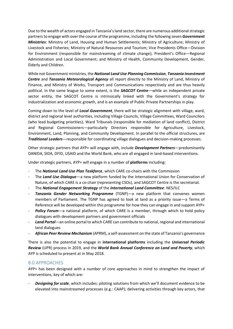Due to the wealth of actors engaged in Tanzania's land sector, there are numerous additional strategic partners to engage with over the course of the programme, including the following seven *Government Ministries*: Ministry of Land, Housing and Human Settlements; Ministry of Agriculture; Ministry of Livestock and Fisheries; Ministry of Natural Resources and Tourism; Vice Presidents Office—Division for Environment (responsible for mainstreaming of climate change); President's Office—Regional Administration and Local Government; and Ministry of Health, Community Development, Gender, Elderly and Children.

While not Government ministries, the *National Land Use Planning Commission*, *Tanzania Investment Centre* and *Tanzania Meteorological Agency* all report directly to the Ministry of Land, Ministry of Finance, and Ministry of Works, Transport and Communications respectively and are thus heavily political. In the same league to some extent, is the *SAGCOT Centre*—while an independent private sector entity, the SAGCOT Centre is intrinsically linked with the Government's strategy for industrialization and economic growth, and is an example of Public Private Partnerships in play.

Coming down to the level of *Local Government*, there will be strategic alignment with village, ward, district and regional level authorities, including Village Councils, Village Committees, Ward Councilors (who lead budgeting priorities), Ward Tribunals (responsible for mediation of land conflict), District and Regional Commissioners—particularly Directors responsible for Agriculture, Livestock, Environment, Land, Planning, and Community Development. In parallel to the official structures, are *Traditional Leaders*—responsible for coordinating village dialogues and decision-making processes.

Other strategic partners that AYP+ will engage with, include *Development Partners*—predominantly DANIDA, SIDA, DFID, USAID and the World Bank, who are all engaged in land-based interventions.

Under strategic partners, AYP+ will engage in a number of **platforms** including:

- The **National Land Use Plan Taskforce**, which CARE co-chairs with the Commission
- The *Land Use Dialogue*—a new platform funded by the International Union for Conservation of Nature, of which CARE is a co-chair (representing CSOs), and SAGCOT Centre is the secretariat.
- The *National Engagement Strategy* of the *International Land Committee*: NES/ILC
- **Tanzania Gender Networking Programme** (TGNP)—a new platform that convenes women members of Parliament. The TGNP has agreed to look at land as a priority issue—a Terms of Reference will be developed within this programme for how they can engage in and support AYP+
- **Policy Forum**—a national platform, of which CARE is a member, through which to hold policy dialogues with development partners and government officials
- Land Portal—an online portal to which CARE can contribute to national, regional and international land dialogues
- *African Peer Review Mechanism* (APRM), a self-assessment on the state of Tanzania's governance

There is also the potential to engage in **international platforms** including the *Universal Periodic Review* (UPR) process in 2019, and the *World Bank Annual Conference on Land and Poverty*, which AYP is scheduled to present at in May 2018.

# <span id="page-20-0"></span>8.0 APPROACHES

AYP+ has been designed with a number of core approaches in mind to strengthen the impact of interventions, key of which are:

**Designing for scale**, which includes: piloting solutions from which we'll document evidence to be elevated into mainstreamed processes (e.g.: CAAP); delivering activities through key actors, that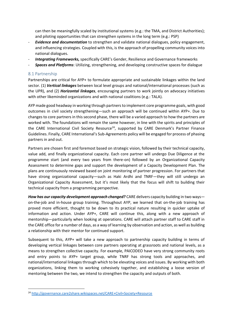can then be meaningfully scaled by institutional systems (e.g.: the TMA, and District Authorities); and piloting opportunities that can strengthen systems in the long term (e.g.: PSP)

- *Evidence and documentation* to strengthen and validate national dialogues, policy engagement, and influencing strategies. Coupled with this, is the approach of propelling community voices into national dialogues.
- *Integrating Frameworks,* specifically CARE's Gender, Resilience and Governance frameworks
- *Spaces and Platforms*: Utilizing, strengthening, and developing constructive spaces for dialogue

#### <span id="page-21-0"></span>8.1 Partnership

.

Partnerships are critical for AYP+ to formulate appropriate and sustainable linkages within the land sector. (1) *Vertical linkages* between local level groups and national/international processes (such as the UPR), and (2) *Horizontal linkages*, encouraging partners to work jointly on advocacy initiatives with other likeminded organizations and with national coalitions (e.g.: TALA).

AYP made good headway in working through partners to implement core programme goals, with good outcomes in civil society strengthening—such an approach will be continued within AYP+. Due to changes to core partners in this second phase, there will be a varied approach to how the partners are worked with. The foundations will remain the same however, in line with the spirits and principles of the CARE International Civil Society Resource<sup>24</sup>, supported by CARE Denmark's Partner Finance Guidelines. Finally, CARE International's Sub-Agreements policy will be engaged for process of phasing partners in and out.

Partners are chosen first and foremost based on strategic vision, followed by their technical capacity, value add, and finally organizational capacity. Each core partner will undergo Due Diligence at the programme start (and every two years from there-on) followed by an Organizational Capacity Assessment to determine gaps and support the development of a Capacity Development Plan. The plans are continuously reviewed based on joint monitoring of partner progression. For partners that have strong organizational capacity—such as Haki Ardhi and TNRF—they will still undergo an Organizational Capacity Assessment, but it's most likely that the focus will shift to building their technical capacity from a programming perspective.

*How has our capacity development approach changed?* CARE delivers capacity building in two ways on-the-job and in-house group training. Throughout AYP, we learned that on-the-job training has proved more efficient, thought to be down to its practical nature resulting in quicker uptake of information and action. Under AYP+, CARE will continue this, along with a new approach of mentorship—particularly when looking at operations. CARE will attach partner staff to CARE staff in the CARE office for a number of days, as a way of learning by observation and action, as well as building a relationship with their mentor for continued support.

Subsequent to this, AYP+ will take a new approach to partnership capacity building in terms of developing vertical linkages between core partners operating at grassroots and national levels, as a means to strengthen collective capacity. For example, PAICODEO have very strong community roots and entry points to AYP+ target group, while TNRF has strong tools and approaches, and national/international linkages through which to be elevating voices and issues. By working with both organizations, linking them to working cohesively together, and establishing a loose version of mentoring between the two, we intend to strengthen the capacity and outputs of both.

<sup>24</sup> <http://governance.care2share.wikispaces.net/CARE+Civil+Society+Resource>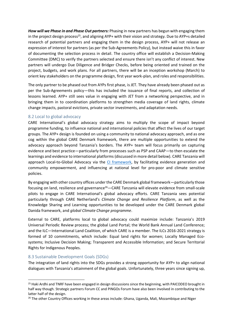*How will we Phase in and Phase Out partners:* Phasing in new partners has begun with engaging them in the project design process<sup>25</sup>, and aligning AYP+ with their vision and strategy. Due to AYP+s detailed research of potential partners and engaging them in the design process, AYP+ will not release an expression of interest for partners (as per the Sub-Agreements Policy), but instead waive this in favor of documenting the selection process in detail. The country office will establish a Decision-Making Committee (DMC) to verify the partners selected and ensure there isn't any conflict of interest. New partners will undergo Due Diligence and Bridger Checks, before being oriented and trained on the project, budgets, and work plans. For all partners, there will be an inception workshop (March) to orient key stakeholders on the programme design, first year work-plan, and roles and responsibilities.

The only partner to be phased out from AYPs first phase, is JET. They have already been phased out as per the Sub-Agreements policy—this has included the issuance of final reports, and collection of lessons learned. AYP+ still sees value in engaging with JET from a networking perspective, and in bringing them in to coordination platforms to strengthen media coverage of land rights, climate change impacts, pastoral evictions, private sector investments, and adaptation needs.

#### <span id="page-22-0"></span>8.2 Local to global advocacy

CARE International's global advocacy strategy aims to multiply the scope of impact beyond programme funding, to influence national and international policies that affect the lives of our target groups. The AYP+ design is founded on using a community to national advocacy approach, and as one cog within the global CARE Denmark framework, there are multiple opportunities to extend the advocacy approach beyond Tanzania's borders. The AYP+ team will focus primarily on capturing evidence and best practice—particularly from processes such as PSP and CAAP—to then escalate the learnings and evidence to international platforms (discussed in more detail below). CARE Tanzania will approach Local-to-Global Advocacy via the [CI framework,](https://www.care-international.org/files/files/publications/CI-Global-Advocacy-Handbook.pdf) by facilitating evidence generation and community empowerment, and influencing at national level for pro-poor and climate sensitive policies.

By engaging with other country offices under the CARE Denmark global framework—particularly those focusing on land, resilience and governance<sup>26</sup>—CARE Tanzania will elevate evidence from small-scale pilots to engage in CARE International's global advocacy efforts. CARE Tanzania sees potential particularly through CARE Netherland's *Climate Change and Resilience Platform*, as well as the Knowledge Sharing and Learning opportunities to be developed under the CARE Denmark global Danida framework, and *global Climate Change programme*.

External to CARE, platforms local to global advocacy could maximize include: Tanzania's 2019 Universal Periodic Review process; the global Land Portal; the World Bank Annual Land Conference; and the ILC—International Land Coalition, of which CARE is a member. The ILCs 2016-2021 strategy is formed of 10 commitments, which include: Equal land rights for women; Locally Managed Ecosystems; Inclusive Decision Making; Transparent and Accessible Information; and Secure Territorial Rights for Indigenous Peoples.

#### <span id="page-22-1"></span>8.3 Sustainable Development Goals (SDGs)

.

The integration of land rights into the SDGs provides a strong opportunity for AYP+ to align national dialogues with Tanzania's attainment of the global goals. Unfortunately, three years since signing up,

<sup>&</sup>lt;sup>25</sup> Haki Ardhi and TNRF have been engaged in design discussions since the beginning, with PAICODEO brought in half way though. Strategic partners Forum CC and PINGOs Forum have also been involved in contributing to the latter half of the design.

<sup>&</sup>lt;sup>26</sup> The other Country Offices working in these areas include: Ghana, Uganda, Mali, Mozambique and Niger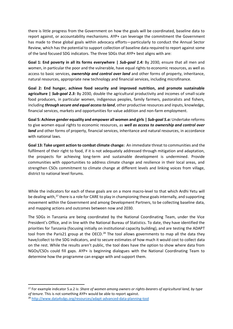there is little progress from the Government on how the goals will be coordinated, baseline data to report against, or accountability mechanisms. AYP+ can leverage the commitment the Government has made to these global goals within advocacy efforts—particularly to conduct the Annual Sector Review, which has the potential to support collection of baseline data required to report against some of the land focused SDG indicators. The three SDGs that AYP+ best aligns with are:

**Goal 1: End poverty in all its forms everywhere |** *Sub-goal 1.4:* By 2030, ensure that all men and women, in particular the poor and the vulnerable, have equal rights to economic resources, as well as access to basic services, *ownership and control over land* and other forms of property, inheritance, natural resources, appropriate new technology and financial services, including microfinance.

**Goal 2: End hunger, achieve food security and improved nutrition, and promote sustainable agriculture |** *Sub-goal 2.3:* By 2030, double the agricultural productivity and incomes of small-scale food producers, in particular women, indigenous peoples, family farmers, pastoralists and fishers, including *through secure and equal access to land*, other productive resources and inputs, knowledge, financial services, markets and opportunities for value addition and non-farm employment.

**Goal 5: Achieve gender equality and empower all women and girls |** *Sub-goal 5.a:* Undertake reforms to give women equal rights to economic resources, as *well as access to ownership and control over land* and other forms of property, financial services, inheritance and natural resources, in accordance with national laws.

**Goal 13: Take urgent action to combat climate change:** An immediate threat to communities and the fulfilment of their right to food, if it is not adequately addressed through mitigation and adaptation, the prospects for achieving long-term and sustainable development is undermined. Provide communities with opportunities to address climate change and resilience in their local areas, and strengthen CSOs commitment to climate change at different levels and linking voices from village, district to national level forums.

While the indicators for each of these goals are on a more macro-level to that which Ardhi Yetu will be dealing with,<sup>27</sup> there is a role for CARE to play in championing these goals internally, and supporting movement within the Government and among Development Partners, to be collecting baseline data, and mapping actions and outcomes between now and 2030.

The SDGs in Tanzania are being coordinated by the National Coordinating Team, under the Vice President's Office, and in line with the National Bureau of Statistics. To date, they have identified the priorities for Tanzania (focusing initially on institutional capacity building), and are testing the ADAPT tool from the Paris21 group at the OECD.<sup>28</sup> The tool allows governments to map all the data they have/collect to the SDG indicators, and to secure estimates of how much it would cost to collect data on the rest. While the results aren't public, the tool does have the option to show where data from NGOs/CSOs could fill gaps. AYP+ is beginning dialogues with the National Coordinating Team to determine how the programme can engage with and support them.

<sup>27</sup> For example indicator 5.a.2 is: *Share of women among owners or rights-bearers of agricultural land, by type of tenure.* This is not something AYP+ would be able to report against.

<sup>28</sup> <http://www.data4sdgs.org/resources/adapt-advanced-data-planning-tool>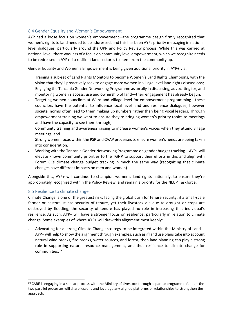# <span id="page-24-0"></span>8.4 Gender Equality and Women's Empowerment

AYP had a loose focus on women's empowerment—the programme design firmly recognized that women's rights to land needed to be addressed, and this has been AYPs priority messaging in national level dialogues, particularly around the UPR and Policy Review process. While this was carried at national level, there was less of a focus on community level empowerment, which we recognize needs to be redressed in AYP+ if a resilient land sector is to stem from the community up.

Gender Equality and Women's Empowerment is being given additional priority in AYP+ via:

- Training a sub-set of Land Rights Monitors to become Women's Land Rights Champions, with the vision that they'll proactively seek to engage more women in village level land rights discussions;
- Engaging the Tanzania Gender Networking Programme as an ally in discussing, advocating for, and monitoring women's access, use and ownership of land—their engagement has already begun;
- Targeting women councilors at Ward and Village level for empowerment programming—these councilors have the potential to influence local level land and resilience dialogues, however societal norms often lead to them making up numbers rather than being vocal leaders. Through empowerment training we want to ensure they're bringing women's priority topics to meetings and have the capacity to see them through;
- Community training and awareness raising to increase women's voices when they attend village meetings; and
- Strong women focus within the PSP and CAAP processes to ensure women's needs are being taken into consideration.
- Working with the Tanzania Gender Networking Programme on gender budget tracking—AYP+ will elevate known community priorities to the TGNP to support their efforts in this and align with Forum CCs climate change budget tracking in much the same way (recognizing that climate changes have different impacts on men and women).

Alongside this, AYP+ will continue to champion women's land rights nationally, to ensure they're appropriately recognized within the Policy Review, and remain a priority for the NLUP Taskforce.

#### <span id="page-24-1"></span>8.5 Resilience to climate change

.

Climate Change is one of the greatest risks facing the global push for tenure security; if a small-scale farmer or pastoralist has security of tenure, yet their livestock die due to drought or crops are destroyed by flooding, the security of tenure has played no role in increasing that individual's resilience. As such, AYP+ will have a stronger focus on resilience, particularly in relation to climate change. Some examples of where AYP+ will draw this alignment most keenly:

Advocating for a strong Climate Change strategy to be integrated within the Ministry of Land— AYP+ will help to show the alignment through examples, such as if land use plans take into account natural wind breaks, fire breaks, water sources, and forest, then land planning can play a strong role in supporting natural resource management, and thus resilience to climate change for communities; 29

 $29$  CARE is engaging in a similar process with the Ministry of Livestock through separate programme funds—the two parallel processes will share lessons and leverage any aligned platforms or relationships to strengthen the approach.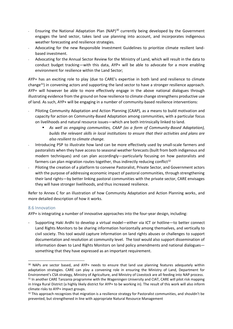- Ensuring the National Adaptation Plan (NAP)<sup>30</sup> currently being developed by the Government engages the land sector, takes land use planning into account, and incorporates indigenous weather forecasting and resilience strategies.
- Advocating for the new Responsible Investment Guidelines to prioritize climate resilient landbased investment.
- Advocating for the Annual Sector Review for the Ministry of Land, which will result in the data to conduct budget tracking—with this data, AYP+ will be able to advocate for a more enabling environment for resilience within the Land Sector;

AYP+ has an exciting role to play (due to CARE's expertise in both land and resilience to climate change $31$ ) in convening actors and supporting the land sector to have a stronger resilience approach. AYP+ will however be able to more effectively engage in the above national dialogues through illustrating evidence from the ground on how resilience to climate change strengthens productive use of land. As such, AYP+ will be engaging in a number of community-based resilience interventions:

- Piloting Community Adaptation and Action Planning (CAAP), as a means to build motivation and capacity for action on Community-Based Adaptation among communities, with a particular focus on livelihoods and natural resource issues—which are both intrinsically linked to land.
	- As well as engaging communities, CAAP (as a form of Community-Based Adaptation), *builds the relevant skills in local institutions to ensure that their activities and plans are also resilient to climate change.*
- Introducing PSP to illustrate how land can be more effectively used by small-scale farmers and pastoralists when they have access to seasonal weather forecasts (built from both indigenous and modern techniques) and can plan accordingly—particularly focusing on how pastoralists and farmers can plan migration routes together, thus indirectly reducing conflict<sup>32</sup>
- Piloting the creation of a platform to convene Pastoralist, Private Sector, and Government actors with the purpose of addressing economic impact of pastoral communities, through strengthening their land rights—by better linking pastoral communities with the private sector, CARE envisages they will have stronger livelihoods, and thus increased resilience.

Refer to Annex C for an illustration of how Community Adaptation and Action Planning works, and more detailed description of how it works.

#### <span id="page-25-0"></span>8.6 Innovation

.

AYP+ is integrating a number of innovative approaches into the four-year design, including:

- Supporting Haki Ardhi to develop a virtual model—either via ICT or hotline—to better connect Land Rights Monitors to be sharing information horizontally among themselves, and vertically to civil society. This tool would capture information on land rights abuses or challenges to support documentation and resolution at community level. The tool would also support dissemination of information down to Land Rights Monitors on land policy amendments and national dialogues something that they have expressed as an important requirement.

<sup>&</sup>lt;sup>30</sup> NAPs are sector based, and AYP+ needs to ensure that land use planning features adequately within adaptation strategies. CARE can play a convening role in ensuring the Ministry of Land, Department for Environment's CSA strategy, Ministry of Agriculture, and Ministry of Livestock are all feeding into NAP process. <sup>31</sup> In another CARE Tanzania programme with the Wageningen University and CIAT, CARE will pilot risk mapping in Iringa Rural District (a highly likely district for AYP+ to be working in). The result of this work will also inform

climate risks to AYP+ impact groups.

 $32$  This approach recognizes that migration is a resilience strategy for Pastoralist communities, and shouldn't be prevented, but strengthened in line with appropriate Natural Resource Management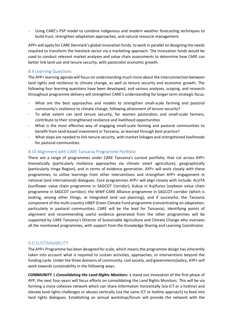Using CARE's PSP model to combine indigenous and modern weather forecasting techniques to build trust, strengthen adaptation approaches, and natural resource management.

AYP+ will apply for CARE Denmark's global innovation funds, to work in parallel on designing the needs required to transform the livestock sector via a marketing approach. The innovation funds would be used to conduct relevant market analyses and value chain assessments to determine how CARE can better link land use and tenure security, with pastoralist economic growth.

#### <span id="page-26-0"></span>8.9 Learning Questions

The AYP+ learning agenda will focus on understanding much more about the interconnection between land rights and resilience to climate change, as well as tenure security and economic growth. The following four learning questions have been developed, and various analyses, scoping, and research throughout programme delivery will strengthen CARE's understanding for longer term strategic focus.

- What are the best approaches and models to strengthen small-scale farming and pastoral community's resilience to climate change, following attainment of tenure security?
- To what extent can land tenure security, for women pastoralists and small-scale farmers, contribute to their strengthened resilience and livelihood opportunities
- What is the most effective way of engaging small-scale farming and pastoral communities to benefit from land-based investment in Tanzania, as learned through best practice?
- What steps are needed to link tenure security, with market linkages and strengthened livelihoods for pastoral communities.

#### <span id="page-26-1"></span>8.10 Alignment with CARE Tanzania Programme Portfolio

There are a range of programmes under CARE Tanzania's current portfolio, that cut across AYP+ thematically (particularly resilience approaches via climate smart agriculture), geographically (particularly Iringa Region), and in terms of evidence generation. AYP+ will work closely with these programmes, to utilize learnings from other interventions and strengthen AYP+ engagement in national (and international) dialogues. Core programmes AYP+ will align closely with include: ALUTA (sunflower value chain programme in SAGCOT Corridor); Kukua ni Kujifunza (soybean value chain programme in SAGCOT corridor); the WWF-CARE Alliance programme in SAGCOT corridor (which is looking, among other things, at integrated land use planning); and if successful, the Tanzania component of the multi-country UNEP Green Climate Fund programme (concentrating on adaptation, particularly in pastoral communities; CARE will be the lead for Tanzania). Identifying points of alignment and recommending useful evidence generated from the other programmes will be supported by CARE Tanzania's Director of Sustainable Agriculture and Climate Change who oversees all the mentioned programmes, with support from the Knowledge Sharing and Learning Coordinator.

#### <span id="page-26-2"></span>9.0 SUSTAINABILITY

The AYP+ Programme has been designed for scale, which means the programme design has inherently taken into account what is required to sustain activities, approaches, or interventions beyond the funding cycle. Under the three domains of community, civil society, and government/policy, AYP+ will work towards sustainability in the following ways.

**COMMUNITY |** *Consolidating the Land Rights Monitors:* a stand out innovation of the first phase of AYP, the next four-years will focus efforts on consolidating the Land Rights Monitors. This will be via forming a more cohesive network which can share information horizontally (via ICT or a hotline) and elevate land rights challenges or abuses vertically (via the same ICT or hotline approach) to feed into land rights dialogues. Establishing an annual workshop/forum will provide the network with the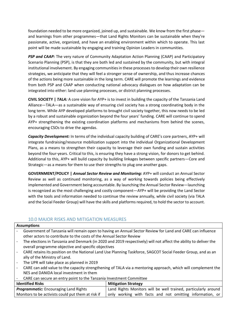foundation needed to be more organized, joined up, and sustainable. We know from the first phase and learnings from other programmes—that Land Rights Monitors can be sustainable when they're passionate, active, organized, and have an enabling environment within which to operate. This last point will be made sustainable by engaging and training Opinion Leaders in communities.

**PSP and CAAP:** The very nature of Community Adaptation Action Planning (CAAP) and Participatory Scenario Planning (PSP), is that they are both led and sustained by the community, but with integral institutional involvement. By engaging communities in these processesto develop their own resilience strategies, we anticipate that they will feel a stronger sense of ownership, and thus increase chances of the actions being more sustainable in the long term. CARE will promote the learnings and evidence from both PSP and CAAP when conducting national advocacy dialogues on how adaptation can be integrated into either: land use planning processes, or district planning processes.

**CIVIL SOCIETY |** *TALA:* A core vision for AYP+ is to invest in building the capacity of the Tanzania Land Alliance—TALA—as a sustainable way of ensuring civil society has a strong coordinating body in the long term. While AYP developed platforms to brought civil society together, this now needs to be led by a robust and sustainable organization beyond the four years' funding. CARE will continue to spend AYP+ strengthening the existing coordination platforms and mechanisms from behind the scenes, encouraging CSOs to drive the agendas.

*Capacity Development:* In terms of the individual capacity building of CARE's core partners, AYP+ will integrate fundraising/resource mobilization support into the individual Organizational Development Plans, as a means to strengthen their capacity to leverage their own funding and sustain activities beyond the four-years. Critical to this, is ensuring they have a strong vision, for donors to get behind. Additional to this, AYP+ will build capacity by building linkages between specific partners—Core and Strategic—as a means for them to use their strengths to plug one another gaps.

**GOVERNMENT/POLICY |** *Annual Sector Review and Monitoring:* AYP+ will conduct an Annual Sector Review as well as continued monitoring, as a way of working towards policies being effectively implemented and Government being accountable. By launching the Annual Sector Review—launching is recognized as the most challenging and costly component—AYP+ will be providing the Land Sector with the tools and information needed to continue the review annually, while civil society (via TALA and the Social Feeder Group) will have the skills and platforms required, to hold the sector to account.

# <span id="page-27-0"></span>10.0 MAJOR RISKS AND MITIGATION MEASURES

| <b>Assumptions</b>                           |                                                                                                                |                                                                                                                  |  |
|----------------------------------------------|----------------------------------------------------------------------------------------------------------------|------------------------------------------------------------------------------------------------------------------|--|
|                                              |                                                                                                                | Government of Tanzania will remain open to having an Annual Sector Review for Land and CARE can influence        |  |
|                                              | other actors to contribute to the costs of the Annual Sector Review                                            |                                                                                                                  |  |
|                                              |                                                                                                                | The elections in Tanzania and Denmark (in 2020 and 2019 respectively) will not affect the ability to deliver the |  |
|                                              | overall programme objective and specific objectives                                                            |                                                                                                                  |  |
|                                              | CARE retains its position on the National Land Use Planning Taskforce, SAGCOT Social Feeder Group, and as an   |                                                                                                                  |  |
|                                              | ally of the Ministry of Land.                                                                                  |                                                                                                                  |  |
|                                              | The UPR will take place as planned in 2019                                                                     |                                                                                                                  |  |
|                                              | CARE can add value to the capacity strengthening of TALA via a mentoring approach, which will complement the   |                                                                                                                  |  |
|                                              | NES and DANIDA local investment in them                                                                        |                                                                                                                  |  |
|                                              | CARE can secure an entry point to the Tanzania Investment Committee                                            |                                                                                                                  |  |
| <b>Identified Risks</b>                      |                                                                                                                | <b>Mitigation Strategy</b>                                                                                       |  |
| <b>Programmatic:</b> Encouraging Land Rights |                                                                                                                | Land Rights Monitors will be well trained, particularly around                                                   |  |
|                                              | Monitors to be activists could put them at risk if<br>only working with facts and not omitting information, or |                                                                                                                  |  |